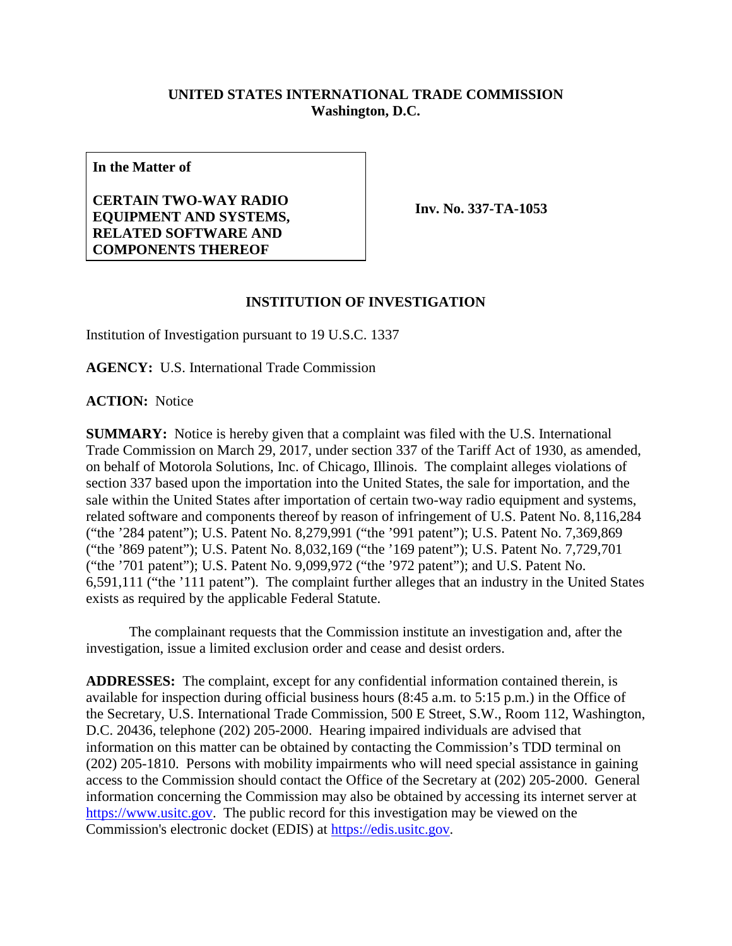## **UNITED STATES INTERNATIONAL TRADE COMMISSION Washington, D.C.**

**In the Matter of**

**CERTAIN TWO-WAY RADIO EQUIPMENT AND SYSTEMS, RELATED SOFTWARE AND COMPONENTS THEREOF**

**Inv. No. 337-TA-1053**

## **INSTITUTION OF INVESTIGATION**

Institution of Investigation pursuant to 19 U.S.C. 1337

**AGENCY:** U.S. International Trade Commission

**ACTION:** Notice

**SUMMARY:** Notice is hereby given that a complaint was filed with the U.S. International Trade Commission on March 29, 2017, under section 337 of the Tariff Act of 1930, as amended, on behalf of Motorola Solutions, Inc. of Chicago, Illinois. The complaint alleges violations of section 337 based upon the importation into the United States, the sale for importation, and the sale within the United States after importation of certain two-way radio equipment and systems, related software and components thereof by reason of infringement of U.S. Patent No. 8,116,284 ("the '284 patent"); U.S. Patent No. 8,279,991 ("the '991 patent"); U.S. Patent No. 7,369,869 ("the '869 patent"); U.S. Patent No. 8,032,169 ("the '169 patent"); U.S. Patent No. 7,729,701 ("the '701 patent"); U.S. Patent No. 9,099,972 ("the '972 patent"); and U.S. Patent No. 6,591,111 ("the '111 patent"). The complaint further alleges that an industry in the United States exists as required by the applicable Federal Statute.

The complainant requests that the Commission institute an investigation and, after the investigation, issue a limited exclusion order and cease and desist orders.

**ADDRESSES:** The complaint, except for any confidential information contained therein, is available for inspection during official business hours (8:45 a.m. to 5:15 p.m.) in the Office of the Secretary, U.S. International Trade Commission, 500 E Street, S.W., Room 112, Washington, D.C. 20436, telephone (202) 205-2000. Hearing impaired individuals are advised that information on this matter can be obtained by contacting the Commission's TDD terminal on (202) 205-1810. Persons with mobility impairments who will need special assistance in gaining access to the Commission should contact the Office of the Secretary at (202) 205-2000. General information concerning the Commission may also be obtained by accessing its internet server at [https://www.usitc.gov.](https://www.usitc.gov/) The public record for this investigation may be viewed on the Commission's electronic docket (EDIS) at [https://edis.usitc.gov.](https://edis.usitc.gov/)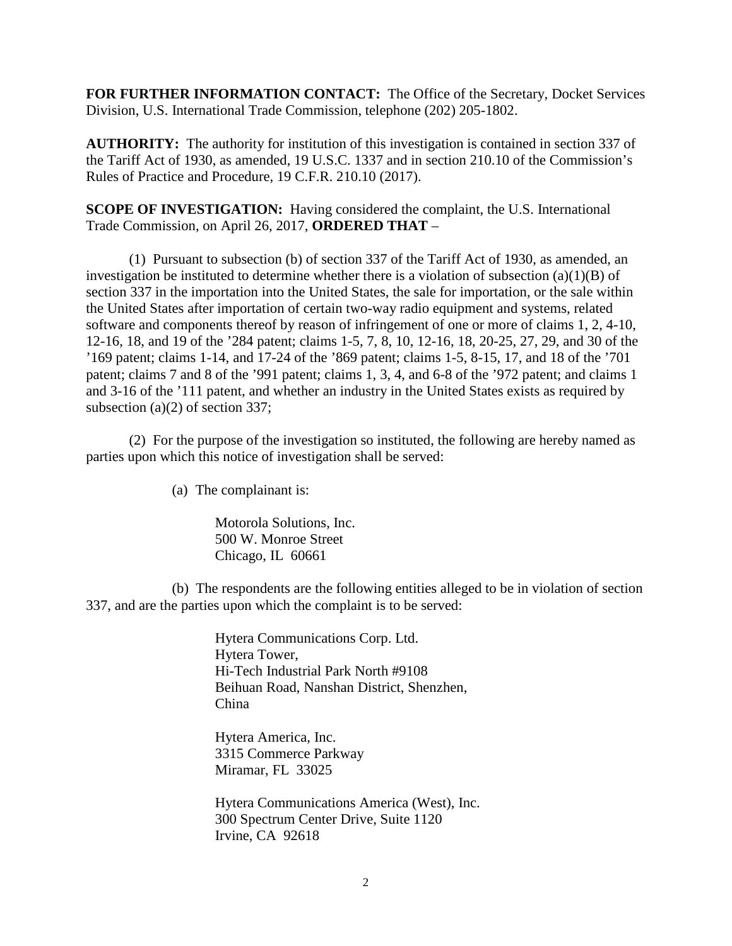**FOR FURTHER INFORMATION CONTACT:** The Office of the Secretary, Docket Services Division, U.S. International Trade Commission, telephone (202) 205-1802.

**AUTHORITY:** The authority for institution of this investigation is contained in section 337 of the Tariff Act of 1930, as amended, 19 U.S.C. 1337 and in section 210.10 of the Commission's Rules of Practice and Procedure, 19 C.F.R. 210.10 (2017).

**SCOPE OF INVESTIGATION:** Having considered the complaint, the U.S. International Trade Commission, on April 26, 2017, **ORDERED THAT** –

(1) Pursuant to subsection (b) of section 337 of the Tariff Act of 1930, as amended, an investigation be instituted to determine whether there is a violation of subsection  $(a)(1)(B)$  of section 337 in the importation into the United States, the sale for importation, or the sale within the United States after importation of certain two-way radio equipment and systems, related software and components thereof by reason of infringement of one or more of claims 1, 2, 4-10, 12-16, 18, and 19 of the '284 patent; claims 1-5, 7, 8, 10, 12-16, 18, 20-25, 27, 29, and 30 of the '169 patent; claims 1-14, and 17-24 of the '869 patent; claims 1-5, 8-15, 17, and 18 of the '701 patent; claims 7 and 8 of the '991 patent; claims 1, 3, 4, and 6-8 of the '972 patent; and claims 1 and 3-16 of the '111 patent, and whether an industry in the United States exists as required by subsection (a)(2) of section 337;

(2) For the purpose of the investigation so instituted, the following are hereby named as parties upon which this notice of investigation shall be served:

(a) The complainant is:

Motorola Solutions, Inc. 500 W. Monroe Street Chicago, IL 60661

(b) The respondents are the following entities alleged to be in violation of section 337, and are the parties upon which the complaint is to be served:

> Hytera Communications Corp. Ltd. Hytera Tower, Hi-Tech Industrial Park North #9108 Beihuan Road, Nanshan District, Shenzhen, China

Hytera America, Inc. 3315 Commerce Parkway Miramar, FL 33025

Hytera Communications America (West), Inc. 300 Spectrum Center Drive, Suite 1120 Irvine, CA 92618